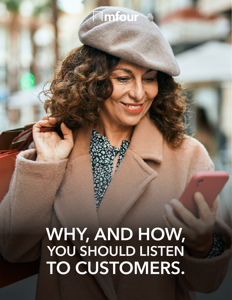# Mmfour

# **WHY, AND HOW, YOU SHOULD LISTEN TO CUSTOMERS.**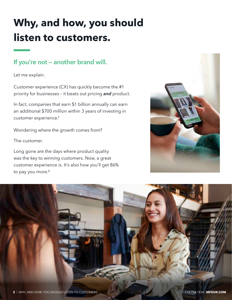## **Why, and how, you should listen to customers.**

### **If you're not — another brand will.**

Let me explain.

Customer experience (CX) has quickly become the #1 priority for businesses – it beats out pricing *and* product.

In fact, companies that earn \$1 billion annually can earn an additional \$700 million within 3 years of investing in customer experience.<sup>1</sup>

Wondering where the growth comes from?

The customer.

Long gone are the days where product quality was the key to winning customers. Now, a great customer experience is. It's also how you'll get 86% to pay you more.<sup>2</sup>



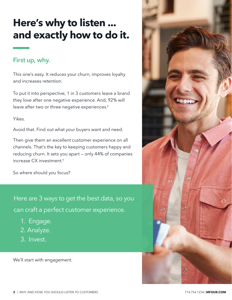## **Here's why to listen ... and exactly how to do it.**

#### **First up, why.**

This one's easy. It reduces your churn, improves loyalty and increases retention.

To put it into perspective, 1 in 3 customers leave a brand they love after one negative experience. And, 92% will leave after two or three negative experiences.<sup>1</sup>

Yikes.

Avoid that. Find out what your buyers want and need.

Then give them an excellent customer experience on all channels. That's the key to keeping customers happy and reducing churn. It sets you apart — only 44% of companies increase CX investment.<sup>1</sup>

So where should you focus?

Here are 3 ways to get the best data, so you can craft a perfect customer experience.

- 1. Engage.
- 2. Analyze.
- 3. Invest.

We'll start with engagement.

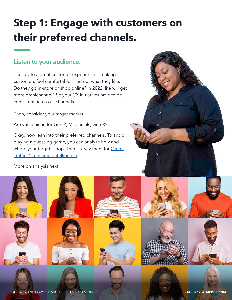## **Step 1: Engage with customers on their preferred channels.**

Listen to your audience.<br>
The key to a great customer experience is<br>
customers feel comfortable. Find out wha<br>
Do they go in-store or shop online? In 202<br>
consistent across all channels.<br>
Then, consider your target market. The key to a great customer experience is making customers feel comfortable. Find out what they like. Do they go in-store or shop online? In 2022, life will get more omnichannel.<sup>1</sup> So your CX initiatives have to be consistent across all channels.

Then, consider your target market.

Are you a niche for Gen Z, Millennials, Gen X?

Okay, now lean into their preferred channels. To avoid playing a guessing game, you can analyze how and where your targets shop. Then survey them for [Omni-](https://mfour.com/atlas/)[Traffic™ consumer intelligence](https://mfour.com/atlas/).

More on analysis next.

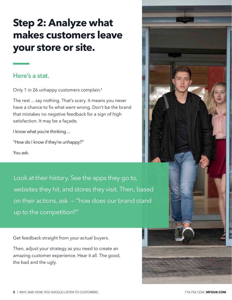## **Step 2: Analyze what makes customers leave your store or site.**

#### **Here's a stat.**

Only 1 in 26 unhappy customers complain.<sup>1</sup>

The rest ... say nothing. That's scary. It means you never have a chance to fix what went wrong. Don't be the brand that mistakes no negative feedback for a sign of high satisfaction. It may be a façade.

I know what you're thinking…

"How do I know if they're unhappy?"

You ask.

Look at their history. See the apps they go to, websites they hit, and stores they visit. Then, based on their actions, ask — "how does our brand stand up to the competition?"

Get feedback straight from your actual buyers.

Then, adjust your strategy as you need to create an amazing customer experience. Hear it all. The good, the bad and the ugly.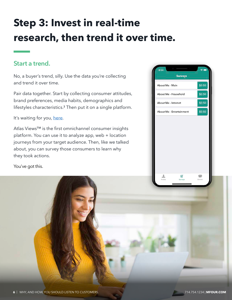## **Step 3: Invest in real-time research, then trend it over time.**

No, a buyer's trend, silly. Use the data you're collecting and trend it over time.

Pair data together. Start by collecting consumer attitudes, brand preferences, media habits, demographics and lifestyles characteristics.<sup>3</sup> Then put it on a single platform.

It's waiting for you[, here.](https://mfour.com/atlas/)

Start a trend.<br>
No, a buyer's trend, silly. Use the data you<br>
and trend it over time.<br>
Pair data together. Start by collecting con<br>
brand preferences, media habits, demogrifiestyles characteristics.<sup>3</sup> Then put it on a<br>
It Atlas Views™ is the first omnichannel consumer insights platform. You can use it to analyze app, web + location journeys from your target audience. Then, like we talked about, you can survey those consumers to learn why they took actions.

You've got this.